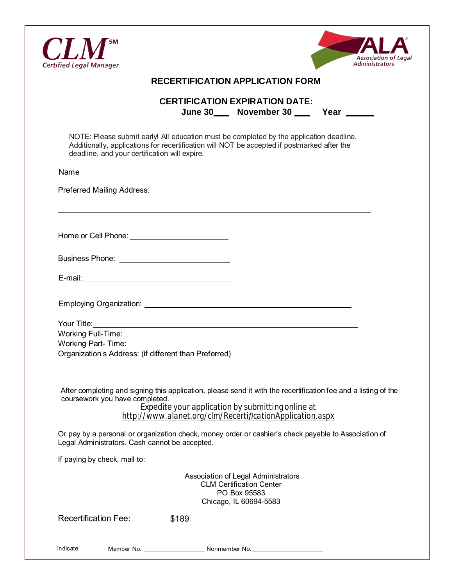



| <b>RECERTIFICATION APPLICATION FORM</b> |  |
|-----------------------------------------|--|
|-----------------------------------------|--|

|         | <b>CERTIFICATION EXPIRATION DATE:</b> |      |  |
|---------|---------------------------------------|------|--|
| June 30 | November 30                           | Year |  |

NOTE: Please submit early! All education must be completed by the application deadline. Additionally, applications for recertification will NOT be accepted if postmarked after the deadline, and your certification will expire.

Name

Preferred Mailing Address: Universe and American Control of the Universe and American Control of the Universe of the Universe and American Control of the Universe of the Universe of the Universe of the Universe of the Univ

Home or Cell Phone:

Business Phone:

Employing Organization:

Your Title: Working Full-Time: Working Part- Time: Organization's Address: (if different than Preferred)

After completing and signing this application, please send it with the recertification fee and a listing of the coursework you have completed.

Expedite your application by submitting online at *http://www.alanet.org/clm/RecertificationApplication.aspx*

Or pay by a personal or organization check, money order or cashier's check payable to Association of Legal Administrators. Cash cannot be accepted.

If paying by check, mail to:

Association of Legal Administrators CLM Certification Center PO Box 95583 Chicago, IL 60694-5583

Recertification Fee: \$189